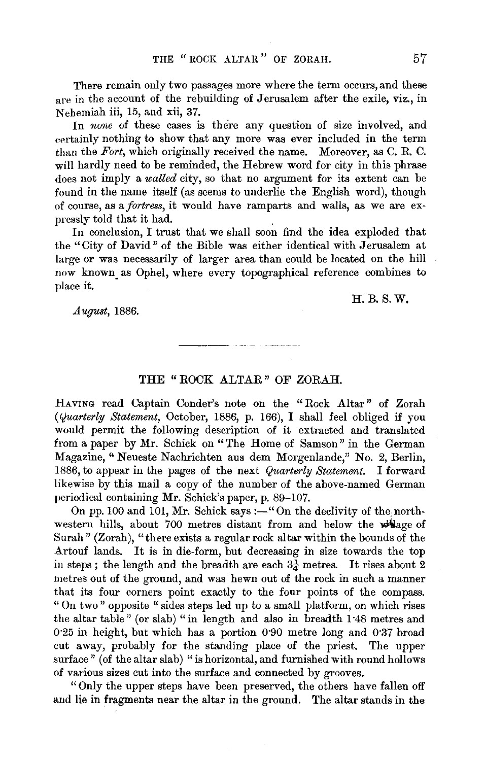There remain only two passages more where the term occurs, and these are in the account of the rebuilding of Jerusalem after the exile, viz., in Nehemiah iii, 15, and xii, 37.

In *none* of these cases is there any question of size involved, and eertainly nothing to show that any more was ever included in the term than the *Fort,* which originally received the name. Moreover, as C. R. C. will hardly need to be reminded, the Hebrew word for city in this phrase does not imply a *walled* city, so that no argument for its extent can be found in the name itself (as seems to underlie the English word), though of course, as a *fortress,* it would have ramparts and walls, as we are expressly told that it had. .

In conclusion, I trust that we shall soon find the idea exploded that the "City of David" of the Bible was either identical with Jerusalem at large or was necessarily of larger area than could be located on the hill now known. as Ophel, where every topographical reference combines to place it.

*August,* 1886.

## H.B.S.W.

## **THE** "ROCK ALTAR" OF ZORAH.

HAVING read Captain Conder's note on the "Rock Altar" of Zorah *(Quarterly Statement,* October, 1886, p. 166), I. shall feel obliged if you would permit the following description of it extracted and translated from a paper by Mr. Schick on "The Home of Samson" in the German .Magazine,'' Neueste Nachrichten aus dem Morgenlande," No. 2, Berlin, 1886, to appear in the pages of the next *Quarterly Statement.* I forward likewise by this mail a copy of the number of the above-named German periodical containing Mr. Schick's paper, p. 89-107.

On pp. 100 and 101, Mr. Schick says :- "On the declivity of the northwestern hills, about 700 metres distant from and below the wilage of Surah" (Zorah), "there exists a regular rock altar within the bounds of the A.rtouf lands. It is in die-form, but decreasing in size towards the top in steps; the length and the breadth are each  $3\frac{1}{4}$  metres. It rises about 2 metres out of the ground, and was hewn out of the rock in such a manner that its four corners point exactly to the four points of the compass. " On two" opposite "sides steps led up to a small platform, on which rises the altar table" (or slab) "in length and also in breadth 1·48 metres and 0·25 in height, but which has a portion 0·90 metre long and 0·37 broad cut away, probably for the standing place of the priest. The upper surface" (of the altar slab) "is horizontal, and furnished with round hollows of various sizes cut into the surface and connected by grooves.

"Only the upper steps have been preserved, the others have fallen off and lie in fragments near the altar in the ground. The altar stands in the